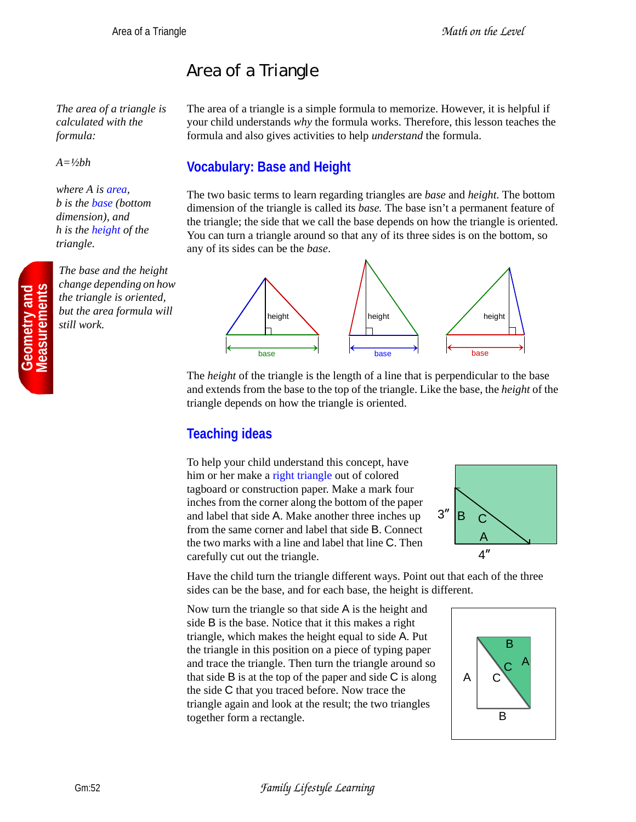## Area of a Triangle

*The area of a triangle is calculated with the formula:*

*A=½bh*

*where A is area, b is the base (bottom dimension), and h is the height of the triangle.*

*The base and the height change depending on how the triangle is oriented, but the area formula will still work.*

The area of a triangle is a simple formula to memorize. However, it is helpful if your child understands *why* the formula works. Therefore, this lesson teaches the formula and also gives activities to help *understand* the formula.

## **Vocabulary: Base and Height**

The two basic terms to learn regarding triangles are *base* and *height*. The bottom dimension of the triangle is called its *base.* The base isn't a permanent feature of the triangle; the side that we call the base depends on how the triangle is oriented. You can turn a triangle around so that any of its three sides is on the bottom, so any of its sides can be the *base*.



The *height* of the triangle is the length of a line that is perpendicular to the base and extends from the base to the top of the triangle. Like the base, the *height* of the triangle depends on how the triangle is oriented.

## **Teaching ideas**

To help your child understand this concept, have him or her make a right triangle out of colored tagboard or construction paper. Make a mark four inches from the corner along the bottom of the paper and label that side A. Make another three inches up from the same corner and label that side B. Connect the two marks with a line and label that line C. Then carefully cut out the triangle.



Have the child turn the triangle different ways. Point out that each of the three sides can be the base, and for each base, the height is different.

Now turn the triangle so that side A is the height and side B is the base. Notice that it this makes a right triangle, which makes the height equal to side A. Put the triangle in this position on a piece of typing paper and trace the triangle. Then turn the triangle around so that side  $\bf{B}$  is at the top of the paper and side  $\bf{C}$  is along the side C that you traced before. Now trace the triangle again and look at the result; the two triangles together form a rectangle.